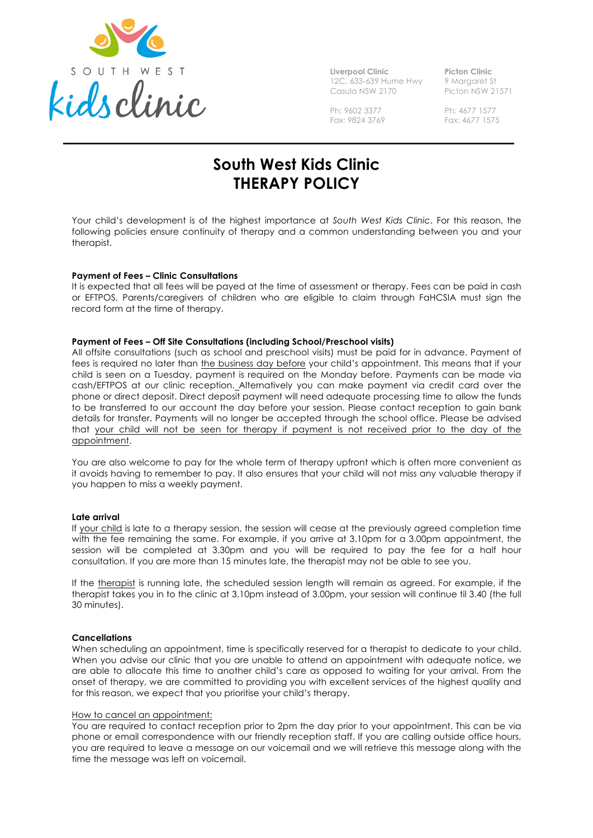

**Liverpool Clinic** 12C, 633-639 Hume Hwy Casula NSW 2170

**Picton Clinic** 9 Margaret St Picton NSW 21571

Ph: 9602 3377 Fax: 9824 3769 Ph: 4677 1577 Fax: 4677 1575

# **South West Kids Clinic THERAPY POLICY**

Your child's development is of the highest importance at *South West Kids Clinic*. For this reason, the following policies ensure continuity of therapy and a common understanding between you and your therapist.

## **Payment of Fees – Clinic Consultations**

It is expected that all fees will be payed at the time of assessment or therapy. Fees can be paid in cash or EFTPOS. Parents/caregivers of children who are eligible to claim through FaHCSIA must sign the record form at the time of therapy.

## **Payment of Fees – Off Site Consultations (including School/Preschool visits)**

All offsite consultations (such as school and preschool visits) must be paid for in advance. Payment of fees is required no later than the business day before your child's appointment. This means that if your child is seen on a Tuesday, payment is required on the Monday before. Payments can be made via cash/EFTPOS at our clinic reception. Alternatively you can make payment via credit card over the phone or direct deposit. Direct deposit payment will need adequate processing time to allow the funds to be transferred to our account the day before your session. Please contact reception to gain bank details for transfer. Payments will no longer be accepted through the school office. Please be advised that your child will not be seen for therapy if payment is not received prior to the day of the appointment.

You are also welcome to pay for the whole term of therapy upfront which is often more convenient as it avoids having to remember to pay. It also ensures that your child will not miss any valuable therapy if you happen to miss a weekly payment.

## **Late arrival**

If your child is late to a therapy session, the session will cease at the previously agreed completion time with the fee remaining the same. For example, if you arrive at 3.10pm for a 3.00pm appointment, the session will be completed at 3.30pm and you will be required to pay the fee for a half hour consultation. If you are more than 15 minutes late, the therapist may not be able to see you.

If the therapist is running late, the scheduled session length will remain as agreed. For example, if the therapist takes you in to the clinic at 3.10pm instead of 3.00pm, your session will continue til 3.40 (the full 30 minutes).

## **Cancellations**

When scheduling an appointment, time is specifically reserved for a therapist to dedicate to your child. When you advise our clinic that you are unable to attend an appointment with adequate notice, we are able to allocate this time to another child's care as opposed to waiting for your arrival. From the onset of therapy, we are committed to providing you with excellent services of the highest quality and for this reason, we expect that you prioritise your child's therapy.

## How to cancel an appointment:

You are required to contact reception prior to 2pm the day prior to your appointment. This can be via phone or email correspondence with our friendly reception staff. If you are calling outside office hours, you are required to leave a message on our voicemail and we will retrieve this message along with the time the message was left on voicemail.